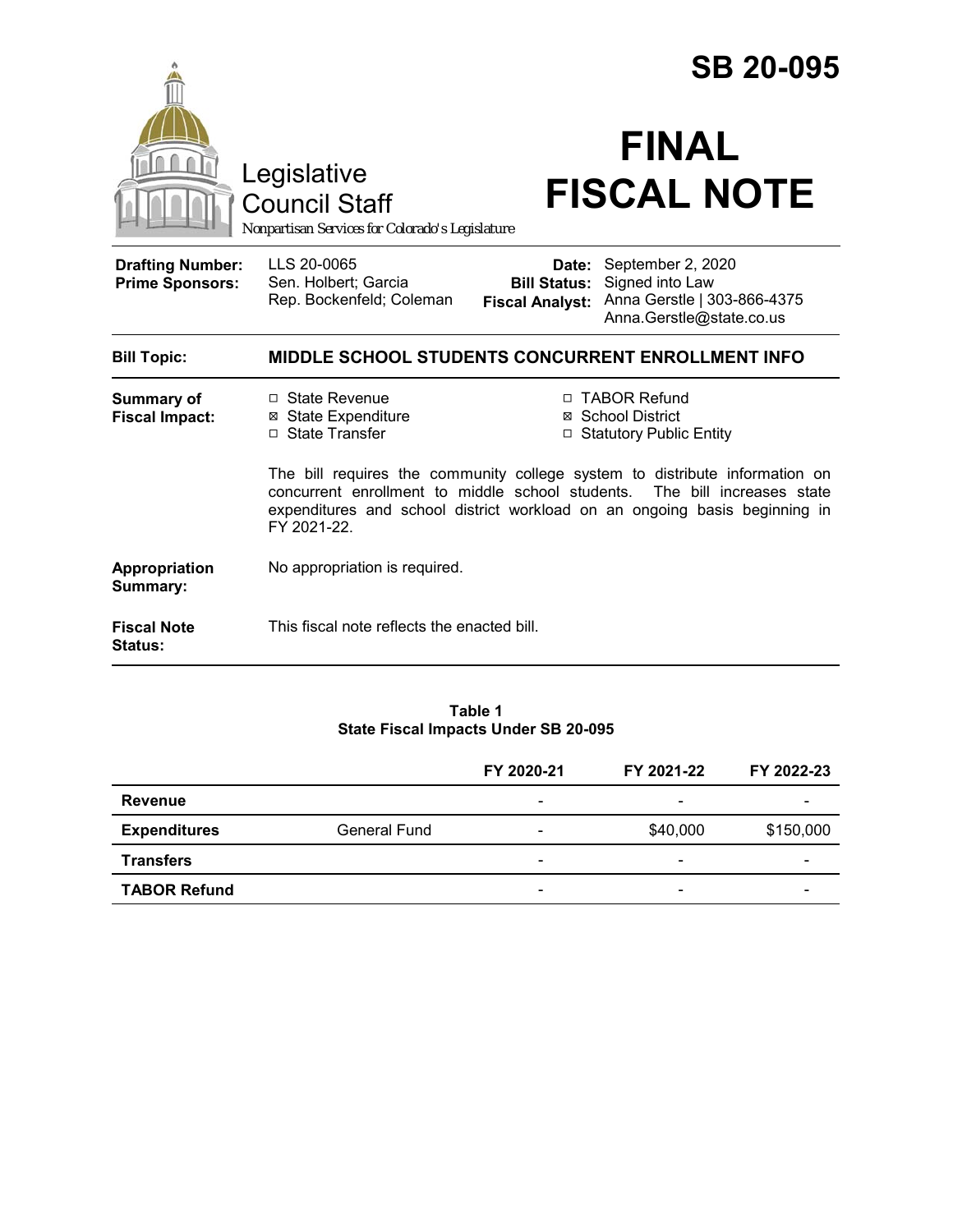| Legislative<br><b>Council Staff</b>               |                                                                                                                                                                                                                                                          | <b>SB 20-095</b><br><b>FINAL</b><br><b>FISCAL NOTE</b>           |                                                                                                       |  |  |
|---------------------------------------------------|----------------------------------------------------------------------------------------------------------------------------------------------------------------------------------------------------------------------------------------------------------|------------------------------------------------------------------|-------------------------------------------------------------------------------------------------------|--|--|
| <b>Drafting Number:</b><br><b>Prime Sponsors:</b> | Nonpartisan Services for Colorado's Legislature<br>LLS 20-0065<br>Sen. Holbert; Garcia<br>Rep. Bockenfeld; Coleman                                                                                                                                       | <b>Bill Status:</b><br><b>Fiscal Analyst:</b>                    | Date: September 2, 2020<br>Signed into Law<br>Anna Gerstle   303-866-4375<br>Anna.Gerstle@state.co.us |  |  |
| <b>Bill Topic:</b>                                | <b>MIDDLE SCHOOL STUDENTS CONCURRENT ENROLLMENT INFO</b>                                                                                                                                                                                                 |                                                                  |                                                                                                       |  |  |
| <b>Summary of</b><br><b>Fiscal Impact:</b>        | □ State Revenue<br><b>⊠ State Expenditure</b><br>□ State Transfer                                                                                                                                                                                        | □ TABOR Refund<br>⊠ School District<br>□ Statutory Public Entity |                                                                                                       |  |  |
|                                                   | The bill requires the community college system to distribute information on<br>concurrent enrollment to middle school students.<br>The bill increases state<br>expenditures and school district workload on an ongoing basis beginning in<br>FY 2021-22. |                                                                  |                                                                                                       |  |  |
| Appropriation<br>Summary:                         | No appropriation is required.                                                                                                                                                                                                                            |                                                                  |                                                                                                       |  |  |
| <b>Fiscal Note</b><br><b>Status:</b>              | This fiscal note reflects the enacted bill.                                                                                                                                                                                                              |                                                                  |                                                                                                       |  |  |

### **Table 1 State Fiscal Impacts Under SB 20-095**

|                     |              | FY 2020-21               | FY 2021-22               | FY 2022-23 |
|---------------------|--------------|--------------------------|--------------------------|------------|
| Revenue             |              | -                        | $\overline{\phantom{0}}$ |            |
| <b>Expenditures</b> | General Fund | $\overline{\phantom{a}}$ | \$40,000                 | \$150,000  |
| <b>Transfers</b>    |              | -                        | $\overline{\phantom{0}}$ |            |
| <b>TABOR Refund</b> |              | -                        | $\overline{\phantom{0}}$ |            |